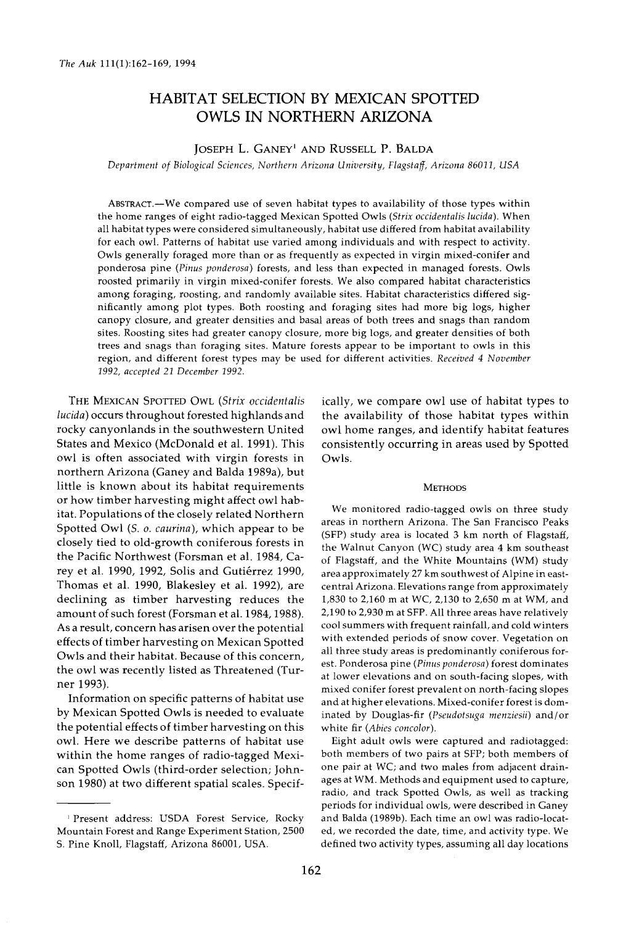# **HABITAT SELECTION BY MEXICAN SPOTTED OWLS IN NORTHERN ARIZONA**

## **JOSEPH L. GANEY' AND RUSSELL P. BALDA**

**Department of Biological Sciences, Northern Arizona University, Flagstaff, Arizona 86011, USA** 

**ABSTRACT.--We compared use of seven habitat types to availability of those types within the home ranges of eight radio-tagged Mexican Spotted Owls (Strix occidentalis lucida). When all habitat types were considered simultaneously, habitat use differed from habitat availability for each owl. Patterns of habitat use varied among individuals and with respect to activity. Owls generally foraged more than or as frequently as expected in virgin mixed-conifer and ponderosa pine (Pinus ponderosa) forests, and less than expected in managed forests. Owls roosted primarily in virgin mixed-conifer forests. We also compared habitat characteristics among foraging, roosting, and randomly available sites. Habitat characteristics differed significantly among plot types. Both roosting and foraging sites had more big logs, higher canopy closure, and greater densities and basal areas of both trees and snags than random sites. Roosting sites had greater canopy closure, more big logs, and greater densities of both trees and snags than foraging sites. Mature forests appear to be important to owls in this region, and different forest types may be used for different activities. Received 4 November 1992, accepted 21 December 1992.** 

**THE MEXICAN SPOTTED OWL (Strix occidentalis lucida) occurs throughout forested highlands and rocky canyonlands in the southwestern United States and Mexico (McDonald et al. 1991). This owl is often associated with virgin forests in northern Arizona (Ganey and Balda 1989a), but little is known about its habitat requirements or how timber harvesting might affect owl habitat. Populations of the closely related Northern Spotted Owl (S. o. caurina), which appear to be closely tied to old-growth coniferous forests in the Pacific Northwest (Forsman et al. 1984, Ca**rey et al. 1990, 1992, Solis and Gutiérrez 1990, **Thomas et al. 1990, Blakesley et al. 1992), are declining as timber harvesting reduces the amount of such forest (Forsman et al. 1984, 1988). As a result, concern has arisen over the potential effects of timber harvesting on Mexican Spotted Owls and their habitat. Because of this concern, the owl was recently listed as Threatened (Turner 1993).** 

**Information on specific patterns of habitat use by Mexican Spotted Owls is needed to evaluate the potential effects of timber harvesting on this owl. Here we describe patterns of habitat use within the home ranges of radio-tagged Mexican Spotted Owls (third-order selection; Johnson 1980) at two different spatial scales. Specif-**  **ically, we compare owl use of habitat types to the availability of those habitat types within owl home ranges, and identify habitat features consistently occurring in areas used by Spotted Owls.** 

#### **METHODS**

**We monitored radio-tagged owls on three study areas in northern Arizona. The San Francisco Peaks (SFP) study area is located 3 km north of Flagstaff, the Walnut Canyon (WC) study area 4 km southeast of Flagstaff, and the White Mountains (WM) study area approximately 27 km southwest of Alpine in eastcentral Arizona. Elevations range from approximately 1,830 to 2,160 m at WC, 2,130 to 2,650 m at WM, and 2,190 to 2,930 m at SFP. All three areas have relatively cool summers with frequent rainfall, and cold winters with extended periods of snow cover. Vegetation on all three study areas is predominantly coniferous forest. Ponderosa pine (Pinus ponderosa) forest dominates at lower elevations and on south-facing slopes, with mixed conifer forest prevalent on north-facing slopes and at higher elevations. Mixed-conifer forest is dominated by Douglas-fir (Pseudotsuga menziesii) and/or white fir (Abies concolor).** 

**Eight adult owls were captured and radiotagged: both members of two pairs at SFP; both members of one pair at WC; and two males from adjacent drainages at WM. Methods and equipment used to capture, radio, and track Spotted Owls, as well as tracking periods for individual owls, were described in Ganey and Balda (1989b). Each time an owl was radio-located, we recorded the date, time, and activity type. We defined two activity types, assuming all day locations** 

**<sup>•</sup> Present address: USDA Forest Service, Rocky Mountain Forest and Range Experiment Station, 2500 S. Pine Knoll, Flagstaff, Arizona 86001, USA.**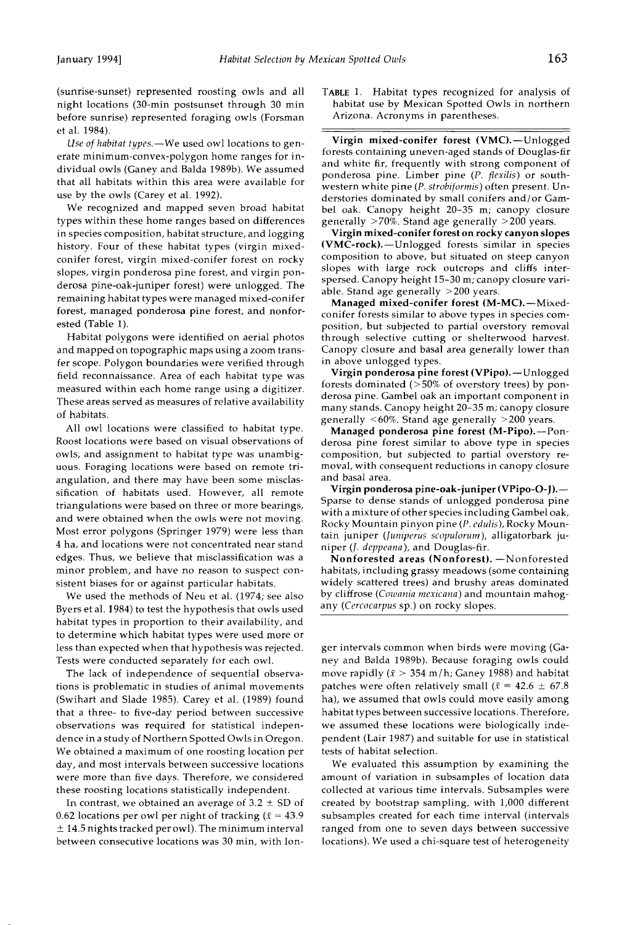**(sunrise-sunset) represented roosting owls and all**  night locations (30-min postsunset through 30 min **before sunrise) represented foraging owls (Forsman et al. 1984).** 

Use of habitat types.-We used owl locations to gen**erate minimum-convex-polygon home ranges for individual owls (Ganey and Balda 1989b). We assumed that all habitats within this area were available for use by the owls (Carey et al. 1992).** 

**We recognized and mapped seven broad habitat types within these home ranges based on differences in species composition, habitat structure, and logging history. Four of these habitat types (virgin mixedconifer forest, virgin mixed-conifer forest on rocky slopes, virgin ponderosa pine forest, and virgin ponderosa pine-oak-juniper forest) were unlogged. The remaining habitat types were managed mixed-conifer forest, managed ponderosa pine forest, and nonforested (Table 1).** 

**Habitat polygons were identified on aerial photos and mapped on topographic maps using a zoom transfer scope. Polygon boundaries were verified through field reconnaissance. Area of each habitat type was measured within each home range using a digitizer. These areas served as measures of relative availability of habitats.** 

**All owl locations were classified to habitat type. Roost locations were based on visual observations of owls, and assignment to habitat type was unambiguous. Foraging locations were based on remote triangulation, and there may have been some misclassiftcation of habitats used. However, all remote triangulations were based on three or more bearings, and were obtained when the owls were not moving. Most error polygons (Springer 1979) were less than 4 ha, and locations were not concentrated near stand edges. Thus, we believe that misclassification was a minor problem, and have no reason to suspect consistent biases for or against particular habitats.** 

**We used the methods of Neu et al. (1974; see also Byers et al. 1984) to test the hypothesis that owls used habitat types in proportion to their availability, and to determine which habitat types were used more or less than expected when that hypothesis was rejected. Tests were conducted separately for each owl.** 

**The lack of independence of sequential observations is problematic in studies of animal movements (Swihart and Slade 1985). Carey et al. (1989) found that a three- to five-day period between successive observations was required for statistical independence in a study of Northern Spotted Owls in Oregon. We obtained a maximum of one roosting location per day, and most intervals between successive locations were more than five days. Therefore, we considered these roosting locations statistically independent.** 

In contrast, we obtained an average of  $3.2 \pm SD$  of 0.62 locations per owl per night of tracking ( $\bar{x}$  = 43.9 **\_+ 14.5 nights tracked per owl). The minimum interval**  between consecutive locations was 30 min, with lon**TABLE 1. Habitat types recognized for analysis of habitat use by Mexican Spotted Owls in northern Arizona. Acronyms in parentheses.** 

**Virgin mixed-conifer forest (VMC).**-Unlogged **forests containing uneven-aged stands of Douglas-fir and white fir, frequently with strong component of**  ponderosa pine. Limber pine (P. flexilis) or south**western white pine (P. strobiformis) often present. Understories dominated by small conifers and/or Gambel oak. Canopy height 20-35 m; canopy closure generally > 70%. Stand age generally > 200 years.** 

**Virgin mixed-conifer forest on rocky canyon slopes**  (VMC-rock).-Unlogged forests similar in species **composition to above, but situated on steep canyon slopes with large rock outcrops and cliffs interspersed. Canopy height 15-30 m; canopy closure variable. Stand age generally >200 years.** 

**Managed mixed-conifer forest (M-MC).**-Mixed**conifer forests similar to above types in species composition, but subjected to partial overstory removal through selective cutting or shelterwood harvest. Canopy closure and basal area generally lower than in above unlogged types.** 

**Virgin ponderosa pine forest (VPipo).**—Unlogged **forests dominated (> 50% of overstory trees) by ponderosa pine. Gambel oak an important component in many stands. Canopy height 20-35 m; canopy closure generally <60%. Stand age generally >200 years.** 

Managed ponderosa pine forest (M-Pipo).-Pon**derosa pine forest similar to above type in species composition, but subjected to partial overstory removal, with consequent reductions in canopy closure and basal area.** 

**Virgin ponderosa pine-oak-juniper (VPipo-O-J).-- Sparse to dense stands of unlogged ponderosa pine with a mixture of other species including Gambel oak, Rocky Mountain pinyon pine (P. edulis), Rocky Moun**tain juniper (Juniperus scopulorum), alligatorbark ju**niper ([. deppeana), and Douglas-fir.** 

**Nonforested areas (Nonforest).** -Nonforested **habitats, including grassy meadows (some containing widely scattered trees) and brushy areas dominated**  by cliffrose (Cowania mexicana) and mountain mahog**any (Cercocarpus sp.) on rocky slopes.** 

**ger intervals common when birds were moving (Ganey and Balda 1989b). Because foraging owls could**  move rapidly  $(\bar{x} > 354 \text{ m/h})$ ; Ganey 1988) and habitat patches were often relatively small ( $\bar{x}$  = 42.6  $\pm$  67.8 **ha), we assumed that owls could move easily among habitat types between successive locations. Therefore, we assumed these locations were biologically independent (Lair 1987) and suitable for use in statistical tests of habitat selection.** 

**We evaluated this assumption by examining the amount of variation in subsamples of location data collected at various time intervals. Subsamples were created by bootstrap sampling, with 1,000 different subsamples created for each time interval (intervals ranged from one to seven days between successive locations). We used a chi-square test of heterogeneity**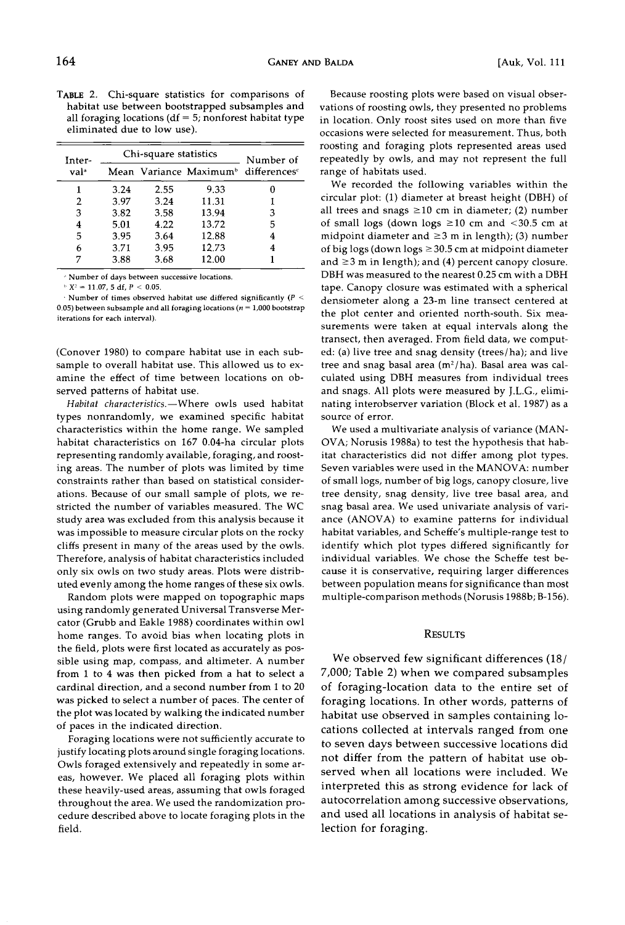**TABLE 2. Chi-square statistics for comparisons of habitat use between bootstrapped subsamples and al! foraging !ocations (df = 5; nonforest habitat type eliminated due to low use).** 

| Inter-           | Chi-square statistics                                       | Number of |       |   |  |
|------------------|-------------------------------------------------------------|-----------|-------|---|--|
| val <sup>a</sup> | Mean Variance Maximum <sup>b</sup> differences <sup>c</sup> |           |       |   |  |
| 1                | 3.24                                                        | 2.55      | 9.33  |   |  |
| 2                | 3.97                                                        | 3.24      | 11.31 |   |  |
| 3                | 3.82                                                        | 3.58      | 13.94 | 3 |  |
| 4                | 5.01                                                        | 4.22      | 13.72 | 5 |  |
| 5                | 3.95                                                        | 3.64      | 12.88 | 4 |  |
| 6                | 3.71                                                        | 3.95      | 12.73 |   |  |
| 7                | 3.88                                                        | 3.68      | 12.00 |   |  |

**"Number of days between successive locations.** 

 $\mathbf{Y}^2 = 11.07, 5 \text{ df}, P < 0.05.$ 

**ß Number of times observed habitat use differed significantly (P <**   $0.05$ ) between subsample and all foraging locations ( $n = 1,000$  bootstrap **iterations for each interval).** 

**(Conover 1980) to compare habitat use in each sub**sample to overall habitat use. This allowed us to examine the effect of time between locations on ob**served patterns of habitat use.** 

Habitat characteristics.-Where owls used habitat **types nonrandomly, we examined specific habitat characteristics within the home range. We samp!ed habitat characteristics on 167 0.04-ha circular plots representing randomly available, foraging, and roost**ing areas. The number of plots was limited by time **constraints rather than based on statistical consider**ations. Because of our small sample of plots, we re**stricted the number of variables measured. The WC study area was exc!uded from this analysis because it was impossib!e to measure circular p!ots on the rocky cliffs present in many of the areas used by the ow!s. Therefore, ana!ysis of habitat characteristics inc!uded**  only six owls on two study areas. Plots were distrib**uted evenly among the home ranges of these six owls.** 

**Random plots were mapped on topographic maps using randomly generated Universal Transverse Mercator (Grubb and Eakle 1988) coordinates within owl**  home ranges. To avoid bias when locating plots in the field, plots were first located as accurately as pos**sible using map, compass, and altimeter. A number**  from 1 to 4 was then picked from a hat to select a **cardinal direction, and a second number from 1 to 20 was picked to select a number of paces. The center of the plot was !ocated by walking the indicated number of paces in the indicated direction.** 

**Foraging !ocations were not sufficient!y accurate to justify locating plots around single foraging locations. Owls foraged extensively and repeatedly in some ar**eas, however. We placed all foraging plots within **these heavi!y-used areas, assuming that ow!s foraged throughout the area. We used the randomization procedure described above to locate foraging p!ots in the field.** 

**Because roosting plots were based on visual observations of roosting ow!s, they presented no problems in !ocation. On!y roost sites used on more than five occasions were se!ected for measurement. Thus, both roosting and foraging plots represented areas used repeatedly by owls, and may not represent the full range of habitats used.** 

We recorded the following variables within the **circular plot: (1) diameter at breast height (DBH) of**  all trees and snags  $\geq$ 10 cm in diameter; (2) number of small logs (down logs  $\geq$ 10 cm and <30.5 cm at  $midpoint diameter and  $\geq 3$  m in length); (3) number$ **of big logs (down logs >- 30.5 cm at midpoint diameter**  and  $\geq$ 3 m in length); and (4) percent canopy closure. **DBH was measured to the nearest 0.25 cm with a DBH tape. Canopy c!osure was estimated with a spherical densiometer along a 23-m !ine transect centered at the plot center and oriented north-south. Six mea**surements were taken at equal intervals along the **transect, then averaged. From field data, we computed: (a) live tree and snag density (trees/ha); and live**  tree and snag basal area (m<sup>2</sup>/ha). Basal area was cal**culated using DBH measures from individua! trees and snags. All plots were measured by J.L.G., eliminating interobserver variation (B!ock eta!. 1987) as a source of error.** 

We used a multivariate analysis of variance (MAN-**OVA; Norusis 1988a) to test the hypothesis that hab**itat characteristics did not differ among plot types. **Seven variables were used in the MANOVA: number of small logs, number of big logs, canopy closure, live tree density, snag density, live tree basal area, and**  snag basal area. We used univariate analysis of vari**ance (ANOVA) to examine patterns for individual habitat variables, and Scheffe's multiple-range test to**  identify which plot types differed significantly for **individual variables. We chose the Scheffe test because it is conservative, requiring larger differences between population means for significance than most multipie-comparison methods (Norusis 1988b; B-156).** 

#### **RESULTS**

**We observed few significant differences (18/ 7,000; Table 2) when we compared subsamples of foraging-location data to the entire set of foraging locations. In other words, patterns of habitat use observed in samples containing locations collected at intervals ranged from one to seven days between successive locations did not differ from the pattern of habitat use observed when all locations were included. We interpreted this as strong evidence for lack of autocorrelation among successive observations, and used all locations in analysis of habitat selection for foraging.**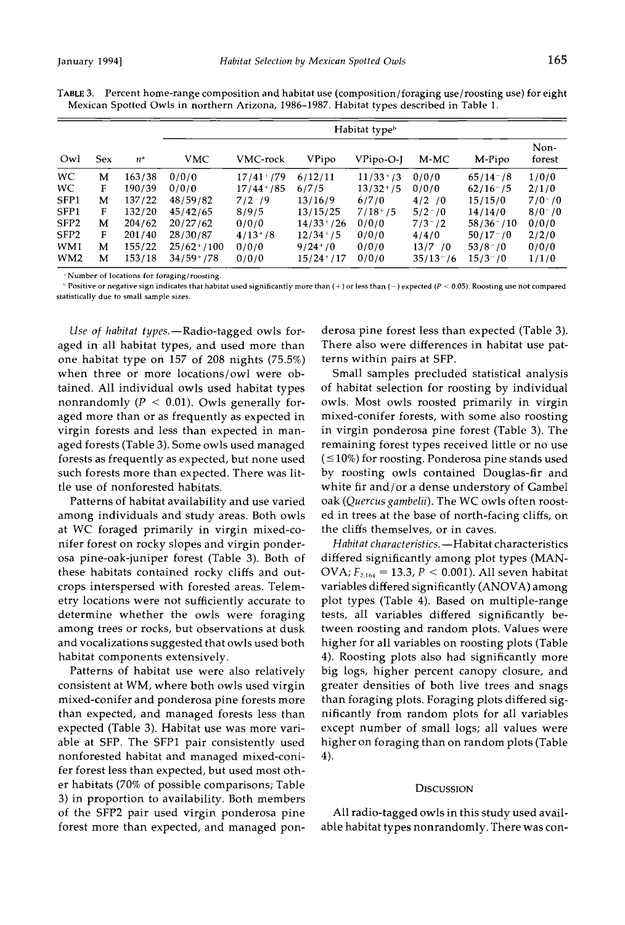| Owl<br><b>Sex</b> |   | $n^{\circ}$ | Habitat type <sup>b</sup>  |                            |                            |            |                         |                          |                |
|-------------------|---|-------------|----------------------------|----------------------------|----------------------------|------------|-------------------------|--------------------------|----------------|
|                   |   |             | VMC                        | VMC-rock                   | VPipo                      | VPipo-O-J  | M-MC                    | M-Pipo                   | Non-<br>forest |
| <b>WC</b>         | М | 163/38      | 0/0/0                      | $17/41$ $179$              | 6/12/11                    | $11/33+73$ | 0/0/0                   | $65/14^-/8$              | 1/0/0          |
| <b>WC</b>         | F | 190/39      | 0/0/0                      | $17/44$ <sup>+</sup> $/85$ | 6/7/5                      | $13/32+75$ | 0/0/0                   | $62/16^-/5$              | 2/1/0          |
| SFP <sub>1</sub>  | M | 137/22      | 48/59/82                   | $7/2 - 19$                 | 13/16/9                    | 6/7/0      | $4/2$ /0                | 15/15/0                  | $7/0^-/0$      |
| SFP <sub>1</sub>  | F | 132/20      | 45/42/65                   | 8/9/5                      | 13/15/25                   | $7/18+75$  | $5/2^-/0$               | 14/14/0                  | $8/0^-/0$      |
| SFP <sub>2</sub>  | м | 204/62      | 20/27/62                   | 0/0/0                      | $14/33+726$                | 0/0/0      | $7/3$ <sup>-</sup> $/2$ | $58/36^-/10$             | 0/0/0          |
| SFP <sub>2</sub>  | F | 201/40      | 28/30/87                   | $4/13+7/8$                 | $12/34$ $\pm$ /5           | 0/0/0      | 4/4/0                   | $50/17^-/0$              | 2/2/0          |
| WM1               | м | 155/22      | $25/62+1100$               | 0/0/0                      | $9/24+10$                  | 0/0/0      | $13/7$ /0               | $53/8^-/0$               | 0/0/0          |
| WM <sub>2</sub>   | M | 153/18      | $34/59$ <sup>+</sup> $/78$ | 0/0/0                      | $15/24$ <sup>+</sup> $/17$ | 0/0/0      | $35/13^-/6$             | $15/3$ <sup>-</sup> $/0$ | 1/1/0          |

TABLE 3. Percent home-range composition and habitat use (composition/foraging use/roosting use) for eight **Mexican Spotted Owls in northern Arizona, 1986-1987. Habitat types described in Table 1.** 

**' Number of locations for foraging/roosting.** 

**•' Positive or negative sign indicates that habitat used significantly more than (+) or less than ( ) expected (P < 0.05). Roosting use not compared statistically due to small sample sizes.** 

Use of habitat types.**--Radio-tagged owls foraged in all habitat types, and used more than one habitat type on 157 of 208 nights (75.5%) when three or more locations/owl were obtained. All individual owls used habitat types nonrandomly (P < 0.01). Owls generally foraged more than or as frequently as expected in virgin forests and less than expected in managed forests (Table 3). Some owls used managed forests as frequently as expected, but none used such forests more than expected. There was little use of nonforested habitats.** 

**Patterns of habitat availability and use varied among individuals and study areas. Both owls at WC foraged primarily in virgin mixed-conifer forest on rocky slopes and virgin ponderosa pine-oak-juniper forest (Table 3). Both of these habitats contained rocky cliffs and outcrops interspersed with forested areas. Telemetry locations were not sufficiently accurate to determine whether the owls were foraging among trees or rocks, but observations at dusk and vocalizations suggested that owls used both habitat components extensively.** 

**Patterns of habitat use were also relatively consistent at WM, where both owls used virgin mixed-conifer and ponderosa pine forests more than expected, and managed forests less than expected (Table 3). Habitat use was more variable at SFP. The SFP1 pair consistently used nonforested habitat and managed mixed-conifer forest less than expected, but used most other habitats (70% of possible comparisons; Table 3) in proportion to availability. Both members of the SFP2 pair used virgin ponderosa pine forest more than expected, and managed pon-** **derosa pine forest less than expected (Table 3). There also were differences in habitat use patterns within pairs at SFP.** 

**Small samples precluded statistical analysis of habitat selection for roosting by individual owls. Most owls roosted primarily in virgin mixed-conifer forests, with some also roosting in virgin ponderosa pine forest (Table 3). The remaining forest types received little or no use (-< 10%) for roosting. Ponderosa pine stands used by roosting owls contained Douglas-fir and white fir and/or a dense understory of Gambel oak (Quercus gambelii). The WC owls often roosted in trees at the base of north-facing cliffs, on the cliffs themselves, or in caves.** 

**Habitat characteristics.--Habitat characteristics differed significantly among plot types (MAN-** $OVA$ ;  $F_{2,164} = 13.3$ ,  $P < 0.001$ ). All seven habitat **variables differed significantly (ANOVA) among plot types (Table 4). Based on multiple-range tests, all variables differed significantly between roosting and random plots. Values were higher for all variables on roosting plots (Table 4). Roosting plots also had significantly more big logs, higher percent canopy closure, and greater densities of both live trees and snags than foraging plots. Foraging plots differed significantly from random plots for all variables except number of small logs; all values were higher on foraging than on random plots (Table 4).** 

### **DISCUSSION**

**All radio-tagged owls in this study used available habitat types nonrandomly. There was con-**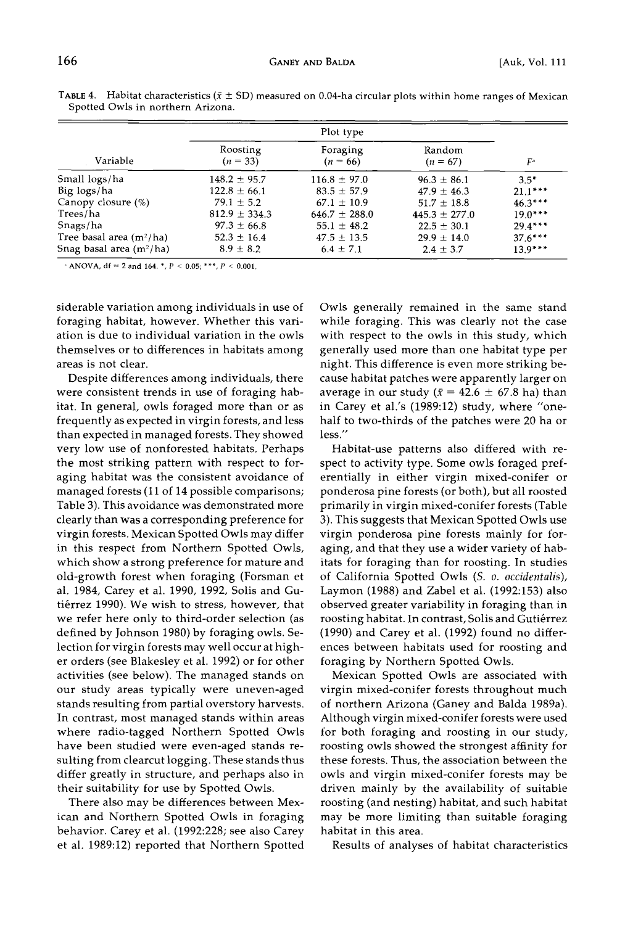|                            | Plot type              |                        |                      |           |  |
|----------------------------|------------------------|------------------------|----------------------|-----------|--|
| Variable                   | Roosting<br>$(n = 33)$ | Foraging<br>$(n = 66)$ | Random<br>$(n = 67)$ | Fa        |  |
| Small logs/ha              | $148.2 \pm 95.7$       | $116.8 \pm 97.0$       | $96.3 \pm 86.1$      | $3.5*$    |  |
| Big logs/ha                | $122.8 \pm 66.1$       | $83.5 \pm 57.9$        | $47.9 \pm 46.3$      | $21.1***$ |  |
| Canopy closure (%)         | $79.1 \pm 5.2$         | $67.1 \pm 10.9$        | $51.7 \pm 18.8$      | $46.3***$ |  |
| Trees/ha                   | $812.9 \pm 334.3$      | $646.7 \pm 288.0$      | $445.3 \pm 277.0$    | $19.0***$ |  |
| Snags/ha                   | $97.3 \pm 66.8$        | $55.1 \pm 48.2$        | $22.5 \pm 30.1$      | $29.4***$ |  |
| Tree basal area $(m^2/ha)$ | $52.3 \pm 16.4$        | $47.5 \pm 13.5$        | $29.9 \pm 14.0$      | $37.6***$ |  |
| Snag basal area $(m^2/ha)$ | $8.9 \pm 8.2$          | $6.4 \pm 7.1$          | $2.4 \pm 3.7$        | $13.9***$ |  |

**TABLE 4.** Habitat characteristics ( $\bar{x} \pm SD$ ) measured on 0.04-ha circular plots within home ranges of Mexican **Spotted Owls in northern Arizona.** 

 $ANOVA$ , df = 2 and 164.  $\ast$ ,  $P < 0.05$ ;  $\ast \ast \ast$ ,  $P < 0.001$ .

**siderable variation among individuals in use of foraging habitat, however. Whether this variation is due to individual variation in the owls themselves or to differences in habitats among areas is not clear.** 

**Despite differences among individuals, there**  were consistent trends in use of foraging hab**itat. In general, owls foraged more than or as frequently as expected in virgin forests, and less than expected in managed forests. They showed very low use of nonforested habitats. Perhaps the most striking pattern with respect to foraging habitat was the consistent avoidance of managed forests (11 of 14 possible comparisons; Table 3). This avoidance was demonstrated more clearly than was a corresponding preference for virgin forests. Mexican Spotted Owls may differ in this respect from Northern Spotted Owls, which show a strong preference for mature and old-growth forest when foraging (Forsman et al. 1984, Carey et al. 1990, 1992, Solis and Gutierrez 1990). We wish to stress, however, that we refer here only to third-order selection (as defined by Johnson 1980) by foraging owls. Selection for virgin forests may well occur at higher orders (see Blakesley et al. 1992) or for other activities (see below). The managed stands on our study areas typically were uneven-aged stands resulting from partial overstory harvests. In contrast, most managed stands within areas where radio-tagged Northern Spotted Owls have been studied were even-aged stands resulting from clearcut logging. These stands thus differ greatly in structure, and perhaps also in their suitability for use by Spotted Owls.** 

**There also may be differences between Mexican and Northern Spotted Owls in foraging behavior. Carey et al. (1992:228; see also Carey**  et al. 1989:12) reported that Northern Spotted **Owls generally remained in the same stand while foraging. This was clearly not the case with respect to the owls in this study, which generally used more than one habitat type per night. This difference is even more striking because habitat patches were apparently larger on**  average in our study  $(\bar{x} = 42.6 \pm 67.8 \text{ ha})$  than **in Carey et al.'s (1989:12) study, where "onehalf to two-thirds of the patches were 20 ha or less."** 

**Habitat-use patterns also differed with respect to activity type. Some owls foraged preferentially in either virgin mixed-conifer or ponderosa pine forests (or both), but all roosted primarily in virgin mixed-conifer forests (Table 3). This suggests that Mexican Spotted Owls use virgin ponderosa pine forests mainly for foraging, and that they use a wider variety of habitats for foraging than for roosting. In studies of California Spotted Owls (S. o. occidentalis), Laymon (1988) and Zabel et al. (1992:153) also observed greater variability in foraging than in roosting habitat. In contrast, Solis and Gutierrez (1990) and Carey et al. (1992) found no differences between habitats used for roosting and foraging by Northern Spotted Owls.** 

**Mexican Spotted Owls are associated with virgin mixed-conifer forests throughout much of northern Arizona (Ganey and Balda 1989a). Although virgin mixed-conifer forests were used for both foraging and roosting in our study, roosting owls showed the strongest affinity for these forests. Thus, the association between the owls and virgin mixed-conifer forests may be driven mainly by the availability of suitable roosting (and nesting) habitat, and such habitat may be more limiting than suitable foraging habitat in this area.** 

**Results of analyses of habitat characteristics**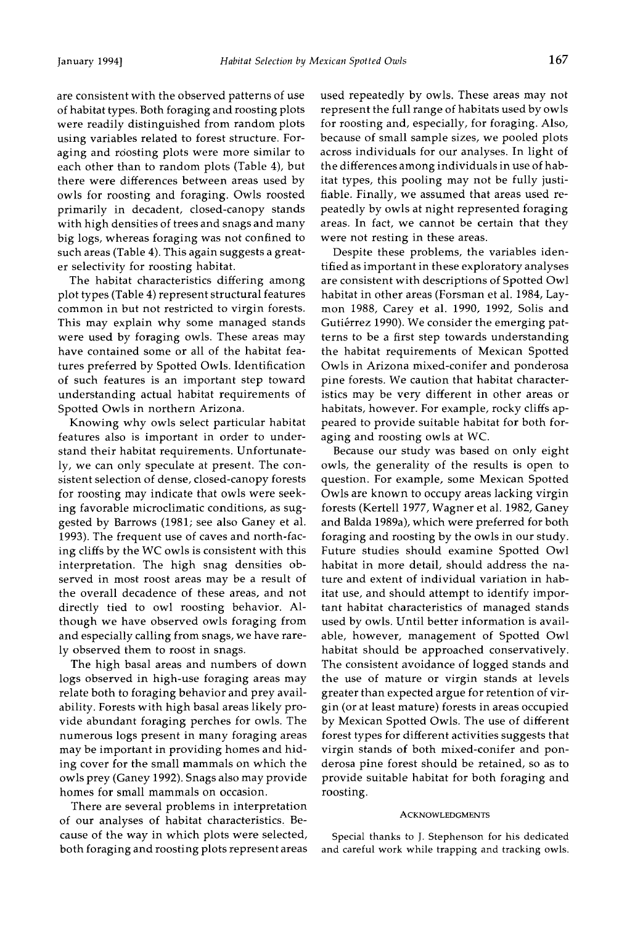**are consistent with the observed patterns of use of habitat types. Both foraging and roosting plots were readily distinguished from random plots using variables related to forest structure. For**aging and roosting plots were more similar to **each other than to random plots (Table 4), but there were differences between areas used by owls for roosting and foraging. Owls roosted primarily in decadent, closed-canopy stands with high densities of trees and snags and many big logs, whereas foraging was not confined to such areas (Table 4). This again suggests a greater selectivity for roosting habitat.** 

**The habitat characteristics differing among plot types (Table 4) represent structural features common in but not restricted to virgin forests. This may explain why some managed stands were used by foraging owls. These areas may have contained some or all of the habitat features preferred by Spotted Owls. Identification of such features is an important step toward understanding actual habitat requirements of Spotted Owls in northern Arizona.** 

**Knowing why owls select particular habitat features also is important in order to understand their habitat requirements. Unfortunately, we can only speculate at present. The consistent selection of dense, closed-canopy forests for roosting may indicate that owls were seeking favorable microclimatic conditions, as suggested by Barrows (1981; see also Ganey et al. 1993). The frequent use of caves and north-facing cliffs by the WC owls is consistent with this interpretation. The high snag densities observed in most roost areas may be a result of the overall decadence of these areas, and not directly tied to owl roosting behavior. Although we have observed owls foraging from and especially calling from snags, we have rarely observed them to roost in snags.** 

**The high basal areas and numbers of down logs observed in high-use foraging areas may relate both to foraging behavior and prey availability. Forests with high basal areas likely provide abundant foraging perches for owls. The numerous logs present in many foraging areas may be important in providing homes and hiding cover for the small mammals on which the owls prey (Ganey 1992). Snags also may provide homes for small mammals on occasion.** 

**There are several problems in interpretation of our analyses of habitat characteristics. Because of the way in which plots were selected, both foraging and roosting plots represent areas** 

**used repeatedly by owls. These areas may not**  represent the full range of habitats used by owls **for roosting and, especially, for foraging. Also, because of small sample sizes, we pooled plots across individuals for our analyses. In light of the differences among individuals in use of habitat types, this pooling may not be fully justifiable. Finally, we assumed that areas used repeatedly by owls at night represented foraging areas. In fact, we cannot be certain that they were not resting in these areas.** 

**Despite these problems, the variables identified as important in these exploratory analyses are consistent with descriptions of Spotted Owl habitat in other areas (Forsman et al. 1984, Laymon 1988, Carey et al. 1990, 1992, Solis and**  Gutiérrez 1990). We consider the emerging pat**terns to be a first step towards understanding the habitat requirements of Mexican Spotted Owls in Arizona mixed-conifer and ponderosa pine forests. We caution that habitat characteristics may be very different in other areas or habitats, however. For example, rocky cliffs appeared to provide suitable habitat for both foraging and roosting owls at WC.** 

**Because our study was based on only eight owls, the generality of the results is open to question. For example, some Mexican Spotted Owls are known to occupy areas lacking virgin forests (Kertell 1977, Wagner et al. 1982, Ganey and Balda 1989a), which were preferred for both foraging and roosting by the owls in our study. Future studies should examine Spotted Owl habitat in more detail, should address the nature and extent of individual variation in habitat use, and should attempt to identify important habitat characteristics of managed stands used by owls. Until better information is available, however, management of Spotted Owl habitat should be approached conservatively. The consistent avoidance of logged stands and the use of mature or virgin stands at levels greater than expected argue for retention of virgin (or at least mature) forests in areas occupied by Mexican Spotted Owls. The use of different forest types for different activities suggests that virgin stands of both mixed-conifer and ponderosa pine forest should be retained, so as to provide suitable habitat for both foraging and roosting.** 

#### **/•CKNOWLEDGMENTS**

**Special thanks to J. Stephenson for his dedicated and careful work while trapping and tracking owls.**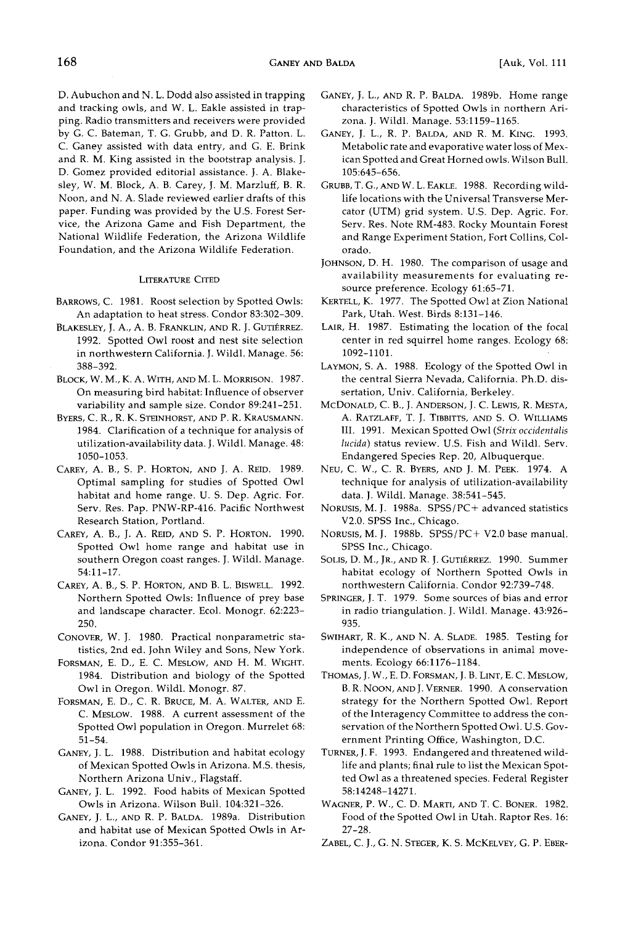**D. Aubuchon and N. L. Dodd also assisted in trapping and tracking owls, and W. L. Eakle assisted in trapping. Radio transmitters and receivers were provided by G. C. Bateman, T. G. Grubb, and D. R. Patton. L. C. Ganey assisted with data entry, and G. E. Brink and R. M. King assisted in the bootstrap analysis. J. D. Gomez provided editorial assistance. J. A. Blakesley, W. M. Block, A. B. Carey, J. M. Marzluff, B. R. Noon, and N. A. Slade reviewed earlier drafts of this paper. Funding was provided by the U.S. Forest Service, the Arizona Game and Fish Department, the National Wildlife Federation, the Arizona Wildlife Foundation, and the Arizona Wildlife Federation.** 

#### **LITERATURE CITED**

- **BARROWS, C. 1981. Roost selection by Spotted Owls: An adaptation to heat stress. Condor 83:302-309.**
- **BLAKESLEY, J.A., A. B. FRANKLIN, AND R. J. GUTIERREZ. 1992. Spotted Owl roost and nest site selection in northwestern California. J. Wildl. Manage. 56: 388-392.**
- **BLOCK, W. M., K. A. WITH, AND M. L. MORRISON. 1987. On measuring bird habitat: Influence of observer variability and sample size. Condor 89:241-251.**
- **BYERS, C. R., R. K. STEINHORST, AND P. R. KRAUSMANN. 1984. Clarification of a technique for analysis of utilization-availability data. J. Wildl. Manage. 48: 1050-1053.**
- **CAREY, A. B., S. P. HORTON, AND J. A. REID. 1989. Optimal sampling for studies of Spotted Owl habitat and home range. U.S. Der. Agric. For. Serv. Res. Pap. PNW-RP-416. Pacific Northwest Research Station, Portland.**
- **CAREY, A. B., J. A. REID, AND S. P. HORTON. 1990. Spotted Owl home range and habitat use in southern Oregon coast ranges. J. Wildl. Manage. 54:11-17.**
- **CAREY, A. B., S. P. HORTON, AND B. L. BISWELL. 1992. Northern Spotted Owls: Influence of prey base and landscape character. Ecol. Monogr. 62:223- 250.**
- **CONOVER, W.J. 1980. Practical nonparametric statistics, 2nd ed. John Wiley and Sons, New York.**
- **FORSMAN, E. D., E. C. MESLOW, AND H. M. WIGHT. 1984. Distribution and biology of the Spotted Owl in Oregon. Wildl. Monogr. 87.**
- **FORSMAN, E. D., C. R. BRUCE, M. A. WALTER, AND E. C. MESLOW. 1988. A current assessment of the Spotted Owl population in Oregon. Murrelet 68: 51-54.**
- **GANEY, J.L. 1988. Distribution and habitat ecology of Mexican Spotted Owls in Arizona. M.S. thesis, Northern Arizona Univ., Flagstaff.**
- **GANEY, J. L. 1992. Food habits of Mexican Spotted Owls in Arizona. Wilson Bull. 104:321-326.**
- **GANEY, J. L., AND R. P. BALDA. 1989a. Distribution and habitat use of Mexican Spotted Owls in Arizona. Condor 91:355-361.**
- **GANEY, J. L., AND R. P. BALDA. 1989b. Home range characteristics of Spotted Owls in northern Arizona. J. Wildl. Manage. 53:1159-1165.**
- **GANEY, J. L., R. P. BALDA, AND R. M. KING. 1993. Metabolic rate and evaporative water loss of Mexican Spotted and Great Horned owls. Wilson Bull. 105:645-656.**
- **GRUBB, T. G., AND W. L. EAKLE. 1988. Recording wildlife locations with the Universal Transverse Mercator (UTM) grid system. U.S. Der. Agric. For. Serv. Res. Note RM-483. Rocky Mountain Forest and Range Experiment Station, Fort Collins, Colorado.**
- **JOHNSON, D. H. 1980. The comparison of usage and availability measurements for evaluating resource preference. Ecology 61:65-71.**
- **KERTELL, K. 1977. The Spotted Owl at Zion National Park, Utah. West. Birds 8:131-146.**
- **LAIR, H. 1987. Estimating the location of the focal center in red squirrel home ranges. Ecology 68: 1092-1101.**
- **LAYMON, S.A. 1988. Ecology of the Spotted Owl in the central Sierra Nevada, California. Ph.D. dissertation, Univ. California, Berkeley.**
- **MCDONALD, C. B., J. ANDERSON, J. C. LEWIS, R. MESTA, A. RATZLAFF, T. J. TIBBITTS, AND S. O. WILLIAMS III. 1991. Mexican Spotted Owl (Strix occidentalis lucida) status review. U.S. Fish and Wildl. Serv. Endangered Species Rer. 20, Albuquerque.**
- **NEU, C. W., C. R. BYERS, AND J. M. PEEK. 1974. A technique for analysis of utilization-availability data. J. Wildl. Manage. 38:541-545.**
- **NORUSIS, M.J. 1988a. SPSS/PC+ advanced statistics V2.0. SPSS Inc., Chicago.**
- **NORUSIS, M.J. 1988b. SPSS/PC+ V2.0 base manual. SPSS Inc., Chicago.**
- **SOLIS, D. M., JR., AND R. J. GUTIERREZ. 1990. Summer habitat ecology of Northern Spotted Owls in northwestern California. Condor 92:739-748.**
- **SPRINGER, J.T. 1979. Some sources of bias and error in radio triangulation. J. Wildl. Manage. 43:926- 935.**
- **SWIHART, R. K., AND N. A. SLADE, 1985. Testing for independence of observations in animal movements. Ecology 66:1176-1184.**
- **THOMAS, J. W., E. D. FORSMAN, J. B. LINT, E. C. MESLOW, B. R. NOON, AND J. VERNER. 1990. A conservation strategy for the Northern Spotted Owl. Report of the Interagency Committee to address the conservation of the Northern Spotted Owl. U.S. Government Printing Office, Washington, D.C.**
- TURNER, J. F. 1993. Endangered and threatened wild**life and plants; final rule to list the Mexican Spotted Owl as a threatened species. Federal Register 58:14248-14271.**
- **WAGNER, P. W., C. D. MARTI, AND T. C. BONER. 1982. Food of the Spotted Owl in Utah. Raptor Res. 16: 27-28.**
- **ZABEL, C. J., G. N. STEGER, K. S. MCKELVEY, G. P. EBER-**